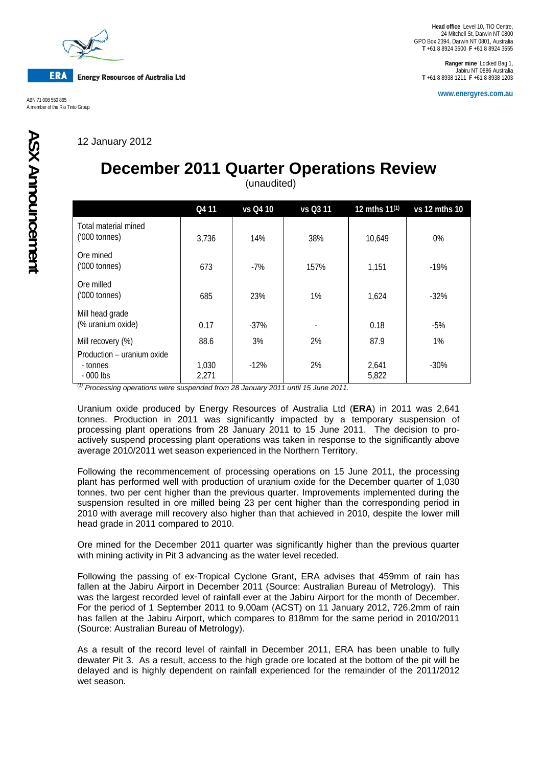

**Head office** Level 10, TIO Centre, 24 Mitchell St, Darwin NT 0800 GPO Box 2394, Darwin NT 0801, Australia **T** +61 8 8924 3500 **F** +61 8 8924 3555

**Ranger mine** Locked Bag 1, Jabiru NT 0886 Australia **T** +61 8 8938 1211 **F** +61 8 8938 1203

**www.energyres.com.au** ABN 71 008 550 865

12 January 2012

## **December 2011 Quarter Operations Review**

(unaudited)

|                                                      | Q4 11          | vs Q4 10 | vs Q3 11 | 12 mths 11 <sup>(1)</sup> | vs 12 mths 10 |
|------------------------------------------------------|----------------|----------|----------|---------------------------|---------------|
| Total material mined<br>$(000 \text{ tonnes})$       | 3,736          | 14%      | 38%      | 10,649                    | $0\%$         |
| Ore mined<br>$(000 \text{ tonnes})$                  | 673            | $-7%$    | 157%     | 1,151                     | $-19%$        |
| Ore milled<br>$(000 \text{ tonnes})$                 | 685            | 23%      | 1%       | 1,624                     | $-32%$        |
| Mill head grade<br>(% uranium oxide)                 | 0.17           | $-37%$   |          | 0.18                      | $-5%$         |
| Mill recovery (%)                                    | 88.6           | 3%       | 2%       | 87.9                      | 1%            |
| Production – uranium oxide<br>- tonnes<br>$-000$ lbs | 1,030<br>2,271 | $-12%$   | 2%       | 2,641<br>5,822            | $-30%$        |

*(1) Processing operations were suspended from 28 January 2011 until 15 June 2011.* 

Uranium oxide produced by Energy Resources of Australia Ltd (**ERA**) in 2011 was 2,641 tonnes. Production in 2011 was significantly impacted by a temporary suspension of processing plant operations from 28 January 2011 to 15 June 2011. The decision to proactively suspend processing plant operations was taken in response to the significantly above average 2010/2011 wet season experienced in the Northern Territory.

Following the recommencement of processing operations on 15 June 2011, the processing plant has performed well with production of uranium oxide for the December quarter of 1,030 tonnes, two per cent higher than the previous quarter. Improvements implemented during the suspension resulted in ore milled being 23 per cent higher than the corresponding period in 2010 with average mill recovery also higher than that achieved in 2010, despite the lower mill head grade in 2011 compared to 2010.

Ore mined for the December 2011 quarter was significantly higher than the previous quarter with mining activity in Pit 3 advancing as the water level receded.

Following the passing of ex-Tropical Cyclone Grant, ERA advises that 459mm of rain has fallen at the Jabiru Airport in December 2011 (Source: Australian Bureau of Metrology). This was the largest recorded level of rainfall ever at the Jabiru Airport for the month of December. For the period of 1 September 2011 to 9.00am (ACST) on 11 January 2012, 726.2mm of rain has fallen at the Jabiru Airport, which compares to 818mm for the same period in 2010/2011 (Source: Australian Bureau of Metrology).

As a result of the record level of rainfall in December 2011, ERA has been unable to fully dewater Pit 3. As a result, access to the high grade ore located at the bottom of the pit will be delayed and is highly dependent on rainfall experienced for the remainder of the 2011/2012 wet season.